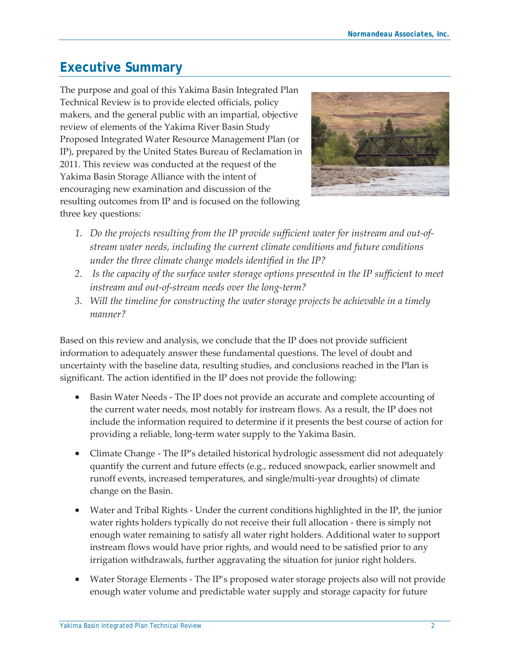## **Executive Summary**

The purpose and goal of this Yakima Basin Integrated Plan Technical Review is to provide elected officials, policy makers, and the general public with an impartial, objective review of elements of the Yakima River Basin Study Proposed Integrated Water Resource Management Plan (or IP), prepared by the United States Bureau of Reclamation in 2011. This review was conducted at the request of the Yakima Basin Storage Alliance with the intent of encouraging new examination and discussion of the resulting outcomes from IP and is focused on the following three key questions:



- *1. Do the projects resulting from the IP provide sufficient water for instream and out-ofstream water needs, including the current climate conditions and future conditions under the three climate change models identified in the IP?*
- *2. Is the capacity of the surface water storage options presented in the IP sufficient to meet instream and out-of-stream needs over the long-term?*
- *3. Will the timeline for constructing the water storage projects be achievable in a timely manner?*

Based on this review and analysis, we conclude that the IP does not provide sufficient information to adequately answer these fundamental questions. The level of doubt and uncertainty with the baseline data, resulting studies, and conclusions reached in the Plan is significant. The action identified in the IP does not provide the following:

- Basin Water Needs The IP does not provide an accurate and complete accounting of the current water needs, most notably for instream flows. As a result, the IP does not include the information required to determine if it presents the best course of action for providing a reliable, long-term water supply to the Yakima Basin.
- x Climate Change The IP's detailed historical hydrologic assessment did not adequately quantify the current and future effects (e.g., reduced snowpack, earlier snowmelt and runoff events, increased temperatures, and single/multi-year droughts) of climate change on the Basin.
- Water and Tribal Rights Under the current conditions highlighted in the IP, the junior water rights holders typically do not receive their full allocation - there is simply not enough water remaining to satisfy all water right holders. Additional water to support instream flows would have prior rights, and would need to be satisfied prior to any irrigation withdrawals, further aggravating the situation for junior right holders.
- Water Storage Elements The IP's proposed water storage projects also will not provide enough water volume and predictable water supply and storage capacity for future